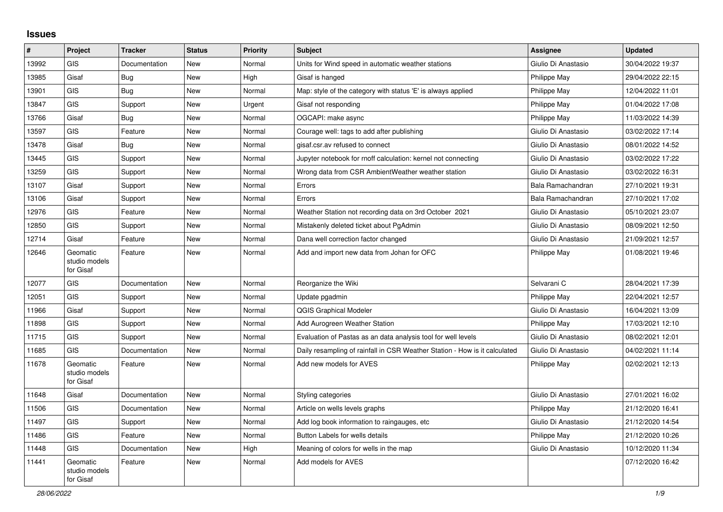## **Issues**

| $\sharp$ | Project                                | <b>Tracker</b> | <b>Status</b> | <b>Priority</b> | <b>Subject</b>                                                             | Assignee            | <b>Updated</b>   |
|----------|----------------------------------------|----------------|---------------|-----------------|----------------------------------------------------------------------------|---------------------|------------------|
| 13992    | GIS                                    | Documentation  | <b>New</b>    | Normal          | Units for Wind speed in automatic weather stations                         | Giulio Di Anastasio | 30/04/2022 19:37 |
| 13985    | Gisaf                                  | Bug            | <b>New</b>    | High            | Gisaf is hanged                                                            | Philippe May        | 29/04/2022 22:15 |
| 13901    | <b>GIS</b>                             | Bug            | New           | Normal          | Map: style of the category with status 'E' is always applied               | Philippe May        | 12/04/2022 11:01 |
| 13847    | <b>GIS</b>                             | Support        | <b>New</b>    | Urgent          | Gisaf not responding                                                       | Philippe May        | 01/04/2022 17:08 |
| 13766    | Gisaf                                  | Bug            | <b>New</b>    | Normal          | OGCAPI: make async                                                         | Philippe May        | 11/03/2022 14:39 |
| 13597    | <b>GIS</b>                             | Feature        | <b>New</b>    | Normal          | Courage well: tags to add after publishing                                 | Giulio Di Anastasio | 03/02/2022 17:14 |
| 13478    | Gisaf                                  | Bug            | New           | Normal          | gisaf.csr.av refused to connect                                            | Giulio Di Anastasio | 08/01/2022 14:52 |
| 13445    | <b>GIS</b>                             | Support        | <b>New</b>    | Normal          | Jupyter notebook for rnoff calculation: kernel not connecting              | Giulio Di Anastasio | 03/02/2022 17:22 |
| 13259    | <b>GIS</b>                             | Support        | <b>New</b>    | Normal          | Wrong data from CSR AmbientWeather weather station                         | Giulio Di Anastasio | 03/02/2022 16:31 |
| 13107    | Gisaf                                  | Support        | New           | Normal          | Errors                                                                     | Bala Ramachandran   | 27/10/2021 19:31 |
| 13106    | Gisaf                                  | Support        | New           | Normal          | Errors                                                                     | Bala Ramachandran   | 27/10/2021 17:02 |
| 12976    | <b>GIS</b>                             | Feature        | New           | Normal          | Weather Station not recording data on 3rd October 2021                     | Giulio Di Anastasio | 05/10/2021 23:07 |
| 12850    | <b>GIS</b>                             | Support        | New           | Normal          | Mistakenly deleted ticket about PgAdmin                                    | Giulio Di Anastasio | 08/09/2021 12:50 |
| 12714    | Gisaf                                  | Feature        | <b>New</b>    | Normal          | Dana well correction factor changed                                        | Giulio Di Anastasio | 21/09/2021 12:57 |
| 12646    | Geomatic<br>studio models<br>for Gisaf | Feature        | <b>New</b>    | Normal          | Add and import new data from Johan for OFC                                 | Philippe May        | 01/08/2021 19:46 |
| 12077    | GIS                                    | Documentation  | <b>New</b>    | Normal          | Reorganize the Wiki                                                        | Selvarani C         | 28/04/2021 17:39 |
| 12051    | <b>GIS</b>                             | Support        | <b>New</b>    | Normal          | Update pgadmin                                                             | Philippe May        | 22/04/2021 12:57 |
| 11966    | Gisaf                                  | Support        | <b>New</b>    | Normal          | <b>QGIS Graphical Modeler</b>                                              | Giulio Di Anastasio | 16/04/2021 13:09 |
| 11898    | <b>GIS</b>                             | Support        | New           | Normal          | Add Aurogreen Weather Station                                              | Philippe May        | 17/03/2021 12:10 |
| 11715    | GIS                                    | Support        | <b>New</b>    | Normal          | Evaluation of Pastas as an data analysis tool for well levels              | Giulio Di Anastasio | 08/02/2021 12:01 |
| 11685    | <b>GIS</b>                             | Documentation  | <b>New</b>    | Normal          | Daily resampling of rainfall in CSR Weather Station - How is it calculated | Giulio Di Anastasio | 04/02/2021 11:14 |
| 11678    | Geomatic<br>studio models<br>for Gisaf | Feature        | <b>New</b>    | Normal          | Add new models for AVES                                                    | Philippe May        | 02/02/2021 12:13 |
| 11648    | Gisaf                                  | Documentation  | <b>New</b>    | Normal          | Styling categories                                                         | Giulio Di Anastasio | 27/01/2021 16:02 |
| 11506    | GIS                                    | Documentation  | <b>New</b>    | Normal          | Article on wells levels graphs                                             | Philippe May        | 21/12/2020 16:41 |
| 11497    | <b>GIS</b>                             | Support        | <b>New</b>    | Normal          | Add log book information to raingauges, etc.                               | Giulio Di Anastasio | 21/12/2020 14:54 |
| 11486    | <b>GIS</b>                             | Feature        | <b>New</b>    | Normal          | Button Labels for wells details                                            | Philippe May        | 21/12/2020 10:26 |
| 11448    | GIS                                    | Documentation  | <b>New</b>    | High            | Meaning of colors for wells in the map                                     | Giulio Di Anastasio | 10/12/2020 11:34 |
| 11441    | Geomatic<br>studio models<br>for Gisaf | Feature        | <b>New</b>    | Normal          | Add models for AVES                                                        |                     | 07/12/2020 16:42 |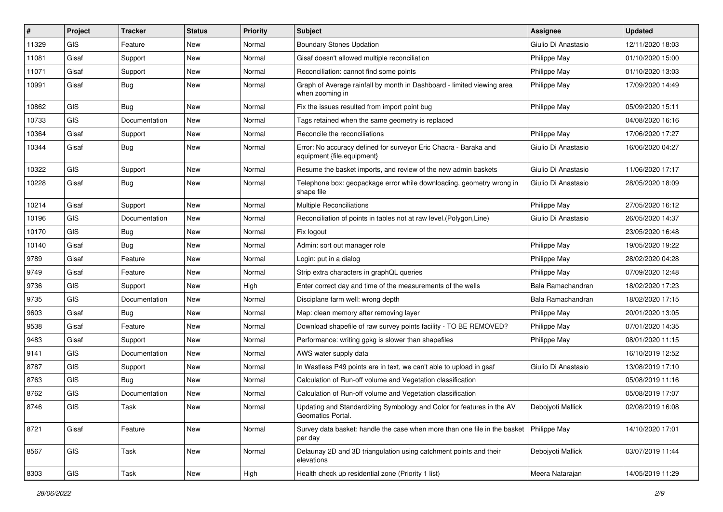| #     | Project    | <b>Tracker</b> | <b>Status</b> | <b>Priority</b> | Subject                                                                                        | Assignee            | <b>Updated</b>   |
|-------|------------|----------------|---------------|-----------------|------------------------------------------------------------------------------------------------|---------------------|------------------|
| 11329 | <b>GIS</b> | Feature        | New           | Normal          | <b>Boundary Stones Updation</b>                                                                | Giulio Di Anastasio | 12/11/2020 18:03 |
| 11081 | Gisaf      | Support        | New           | Normal          | Gisaf doesn't allowed multiple reconciliation                                                  | Philippe May        | 01/10/2020 15:00 |
| 11071 | Gisaf      | Support        | New           | Normal          | Reconciliation: cannot find some points                                                        | Philippe May        | 01/10/2020 13:03 |
| 10991 | Gisaf      | <b>Bug</b>     | New           | Normal          | Graph of Average rainfall by month in Dashboard - limited viewing area<br>when zooming in      | Philippe May        | 17/09/2020 14:49 |
| 10862 | <b>GIS</b> | Bug            | New           | Normal          | Fix the issues resulted from import point bug                                                  | Philippe May        | 05/09/2020 15:11 |
| 10733 | <b>GIS</b> | Documentation  | New           | Normal          | Tags retained when the same geometry is replaced                                               |                     | 04/08/2020 16:16 |
| 10364 | Gisaf      | Support        | New           | Normal          | Reconcile the reconciliations                                                                  | Philippe May        | 17/06/2020 17:27 |
| 10344 | Gisaf      | Bug            | New           | Normal          | Error: No accuracy defined for surveyor Eric Chacra - Baraka and<br>equipment {file.equipment} | Giulio Di Anastasio | 16/06/2020 04:27 |
| 10322 | <b>GIS</b> | Support        | New           | Normal          | Resume the basket imports, and review of the new admin baskets                                 | Giulio Di Anastasio | 11/06/2020 17:17 |
| 10228 | Gisaf      | <b>Bug</b>     | New           | Normal          | Telephone box: geopackage error while downloading, geometry wrong in<br>shape file             | Giulio Di Anastasio | 28/05/2020 18:09 |
| 10214 | Gisaf      | Support        | New           | Normal          | Multiple Reconciliations                                                                       | Philippe May        | 27/05/2020 16:12 |
| 10196 | GIS        | Documentation  | New           | Normal          | Reconciliation of points in tables not at raw level. (Polygon, Line)                           | Giulio Di Anastasio | 26/05/2020 14:37 |
| 10170 | GIS        | <b>Bug</b>     | New           | Normal          | Fix logout                                                                                     |                     | 23/05/2020 16:48 |
| 10140 | Gisaf      | <b>Bug</b>     | New           | Normal          | Admin: sort out manager role                                                                   | Philippe May        | 19/05/2020 19:22 |
| 9789  | Gisaf      | Feature        | New           | Normal          | Login: put in a dialog                                                                         | Philippe May        | 28/02/2020 04:28 |
| 9749  | Gisaf      | Feature        | New           | Normal          | Strip extra characters in graphQL queries                                                      | Philippe May        | 07/09/2020 12:48 |
| 9736  | GIS        | Support        | New           | High            | Enter correct day and time of the measurements of the wells                                    | Bala Ramachandran   | 18/02/2020 17:23 |
| 9735  | GIS        | Documentation  | New           | Normal          | Disciplane farm well: wrong depth                                                              | Bala Ramachandran   | 18/02/2020 17:15 |
| 9603  | Gisaf      | Bug            | New           | Normal          | Map: clean memory after removing layer                                                         | Philippe May        | 20/01/2020 13:05 |
| 9538  | Gisaf      | Feature        | New           | Normal          | Download shapefile of raw survey points facility - TO BE REMOVED?                              | Philippe May        | 07/01/2020 14:35 |
| 9483  | Gisaf      | Support        | New           | Normal          | Performance: writing gpkg is slower than shapefiles                                            | Philippe May        | 08/01/2020 11:15 |
| 9141  | GIS        | Documentation  | New           | Normal          | AWS water supply data                                                                          |                     | 16/10/2019 12:52 |
| 8787  | GIS        | Support        | New           | Normal          | In Wastless P49 points are in text, we can't able to upload in gsaf                            | Giulio Di Anastasio | 13/08/2019 17:10 |
| 8763  | <b>GIS</b> | Bug            | New           | Normal          | Calculation of Run-off volume and Vegetation classification                                    |                     | 05/08/2019 11:16 |
| 8762  | <b>GIS</b> | Documentation  | New           | Normal          | Calculation of Run-off volume and Vegetation classification                                    |                     | 05/08/2019 17:07 |
| 8746  | GIS        | Task           | New           | Normal          | Updating and Standardizing Symbology and Color for features in the AV<br>Geomatics Portal.     | Debojyoti Mallick   | 02/08/2019 16:08 |
| 8721  | Gisaf      | Feature        | <b>New</b>    | Normal          | Survey data basket: handle the case when more than one file in the basket<br>per day           | Philippe May        | 14/10/2020 17:01 |
| 8567  | GIS        | Task           | New           | Normal          | Delaunay 2D and 3D triangulation using catchment points and their<br>elevations                | Debojyoti Mallick   | 03/07/2019 11:44 |
| 8303  | GIS        | Task           | New           | High            | Health check up residential zone (Priority 1 list)                                             | Meera Natarajan     | 14/05/2019 11:29 |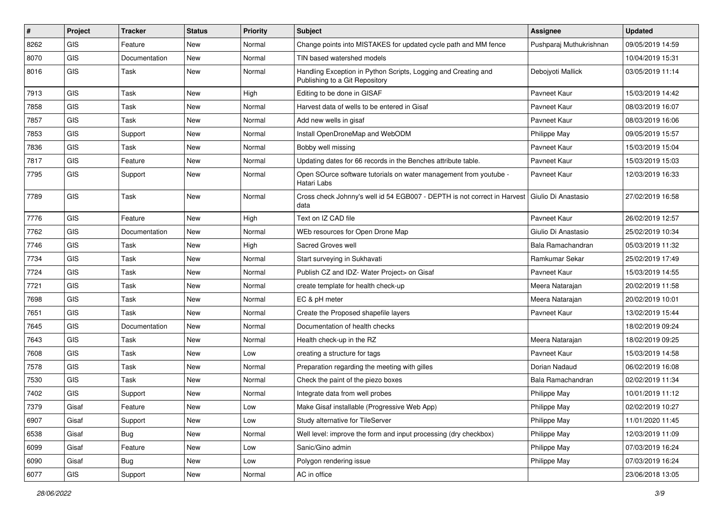| #    | Project    | <b>Tracker</b> | <b>Status</b> | <b>Priority</b> | Subject                                                                                          | <b>Assignee</b>         | <b>Updated</b>   |
|------|------------|----------------|---------------|-----------------|--------------------------------------------------------------------------------------------------|-------------------------|------------------|
| 8262 | <b>GIS</b> | Feature        | New           | Normal          | Change points into MISTAKES for updated cycle path and MM fence                                  | Pushparaj Muthukrishnan | 09/05/2019 14:59 |
| 8070 | <b>GIS</b> | Documentation  | <b>New</b>    | Normal          | TIN based watershed models                                                                       |                         | 10/04/2019 15:31 |
| 8016 | GIS        | Task           | New           | Normal          | Handling Exception in Python Scripts, Logging and Creating and<br>Publishing to a Git Repository | Debojyoti Mallick       | 03/05/2019 11:14 |
| 7913 | <b>GIS</b> | <b>Task</b>    | New           | High            | Editing to be done in GISAF                                                                      | Pavneet Kaur            | 15/03/2019 14:42 |
| 7858 | GIS        | <b>Task</b>    | New           | Normal          | Harvest data of wells to be entered in Gisaf                                                     | Pavneet Kaur            | 08/03/2019 16:07 |
| 7857 | GIS        | <b>Task</b>    | New           | Normal          | Add new wells in gisaf                                                                           | Pavneet Kaur            | 08/03/2019 16:06 |
| 7853 | GIS        | Support        | New           | Normal          | Install OpenDroneMap and WebODM                                                                  | <b>Philippe May</b>     | 09/05/2019 15:57 |
| 7836 | GIS        | Task           | <b>New</b>    | Normal          | Bobby well missing                                                                               | Pavneet Kaur            | 15/03/2019 15:04 |
| 7817 | GIS        | Feature        | New           | Normal          | Updating dates for 66 records in the Benches attribute table.                                    | Pavneet Kaur            | 15/03/2019 15:03 |
| 7795 | <b>GIS</b> | Support        | New           | Normal          | Open SOurce software tutorials on water management from youtube -<br>Hatari Labs                 | Pavneet Kaur            | 12/03/2019 16:33 |
| 7789 | GIS        | Task           | New           | Normal          | Cross check Johnny's well id 54 EGB007 - DEPTH is not correct in Harvest<br>data                 | l Giulio Di Anastasio   | 27/02/2019 16:58 |
| 7776 | GIS        | Feature        | New           | High            | Text on IZ CAD file                                                                              | Pavneet Kaur            | 26/02/2019 12:57 |
| 7762 | GIS        | Documentation  | New           | Normal          | WEb resources for Open Drone Map                                                                 | Giulio Di Anastasio     | 25/02/2019 10:34 |
| 7746 | GIS        | Task           | New           | High            | Sacred Groves well                                                                               | Bala Ramachandran       | 05/03/2019 11:32 |
| 7734 | GIS        | <b>Task</b>    | New           | Normal          | Start surveying in Sukhavati                                                                     | Ramkumar Sekar          | 25/02/2019 17:49 |
| 7724 | GIS        | Task           | New           | Normal          | Publish CZ and IDZ- Water Project> on Gisaf                                                      | Pavneet Kaur            | 15/03/2019 14:55 |
| 7721 | GIS        | Task           | New           | Normal          | create template for health check-up                                                              | Meera Natarajan         | 20/02/2019 11:58 |
| 7698 | GIS        | <b>Task</b>    | <b>New</b>    | Normal          | EC & pH meter                                                                                    | Meera Natarajan         | 20/02/2019 10:01 |
| 7651 | GIS        | <b>Task</b>    | New           | Normal          | Create the Proposed shapefile layers                                                             | Pavneet Kaur            | 13/02/2019 15:44 |
| 7645 | <b>GIS</b> | Documentation  | <b>New</b>    | Normal          | Documentation of health checks                                                                   |                         | 18/02/2019 09:24 |
| 7643 | <b>GIS</b> | Task           | New           | Normal          | Health check-up in the RZ                                                                        | Meera Natarajan         | 18/02/2019 09:25 |
| 7608 | GIS        | Task           | New           | Low             | creating a structure for tags                                                                    | Pavneet Kaur            | 15/03/2019 14:58 |
| 7578 | GIS        | Task           | New           | Normal          | Preparation regarding the meeting with gilles                                                    | Dorian Nadaud           | 06/02/2019 16:08 |
| 7530 | <b>GIS</b> | Task           | New           | Normal          | Check the paint of the piezo boxes                                                               | Bala Ramachandran       | 02/02/2019 11:34 |
| 7402 | <b>GIS</b> | Support        | New           | Normal          | Integrate data from well probes                                                                  | <b>Philippe May</b>     | 10/01/2019 11:12 |
| 7379 | Gisaf      | Feature        | New           | Low             | Make Gisaf installable (Progressive Web App)                                                     | Philippe May            | 02/02/2019 10:27 |
| 6907 | Gisaf      | Support        | New           | Low             | Study alternative for TileServer                                                                 | Philippe May            | 11/01/2020 11:45 |
| 6538 | Gisaf      | <b>Bug</b>     | New           | Normal          | Well level: improve the form and input processing (dry checkbox)                                 | Philippe May            | 12/03/2019 11:09 |
| 6099 | Gisaf      | Feature        | New           | Low             | Sanic/Gino admin                                                                                 | Philippe May            | 07/03/2019 16:24 |
| 6090 | Gisaf      | <b>Bug</b>     | New           | Low             | Polygon rendering issue                                                                          | Philippe May            | 07/03/2019 16:24 |
| 6077 | GIS        | Support        | New           | Normal          | AC in office                                                                                     |                         | 23/06/2018 13:05 |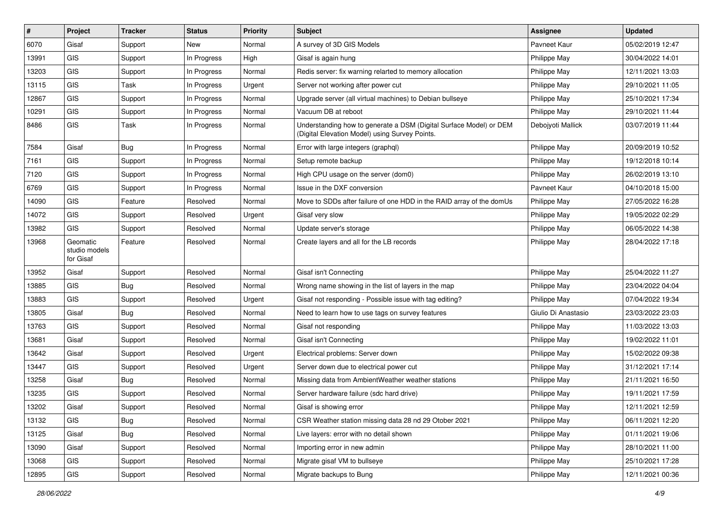| #     | Project                                | <b>Tracker</b> | <b>Status</b> | <b>Priority</b> | <b>Subject</b>                                                                                                       | <b>Assignee</b>     | <b>Updated</b>   |
|-------|----------------------------------------|----------------|---------------|-----------------|----------------------------------------------------------------------------------------------------------------------|---------------------|------------------|
| 6070  | Gisaf                                  | Support        | New           | Normal          | A survey of 3D GIS Models                                                                                            | Pavneet Kaur        | 05/02/2019 12:47 |
| 13991 | GIS                                    | Support        | In Progress   | High            | Gisaf is again hung                                                                                                  | Philippe May        | 30/04/2022 14:01 |
| 13203 | GIS                                    | Support        | In Progress   | Normal          | Redis server: fix warning relarted to memory allocation                                                              | Philippe May        | 12/11/2021 13:03 |
| 13115 | GIS                                    | Task           | In Progress   | Urgent          | Server not working after power cut                                                                                   | Philippe May        | 29/10/2021 11:05 |
| 12867 | GIS                                    | Support        | In Progress   | Normal          | Upgrade server (all virtual machines) to Debian bullseye                                                             | Philippe May        | 25/10/2021 17:34 |
| 10291 | GIS                                    | Support        | In Progress   | Normal          | Vacuum DB at reboot                                                                                                  | Philippe May        | 29/10/2021 11:44 |
| 8486  | GIS                                    | Task           | In Progress   | Normal          | Understanding how to generate a DSM (Digital Surface Model) or DEM<br>(Digital Elevation Model) using Survey Points. | Debojyoti Mallick   | 03/07/2019 11:44 |
| 7584  | Gisaf                                  | Bug            | In Progress   | Normal          | Error with large integers (graphql)                                                                                  | Philippe May        | 20/09/2019 10:52 |
| 7161  | GIS                                    | Support        | In Progress   | Normal          | Setup remote backup                                                                                                  | Philippe May        | 19/12/2018 10:14 |
| 7120  | <b>GIS</b>                             | Support        | In Progress   | Normal          | High CPU usage on the server (dom0)                                                                                  | Philippe May        | 26/02/2019 13:10 |
| 6769  | GIS                                    | Support        | In Progress   | Normal          | Issue in the DXF conversion                                                                                          | Pavneet Kaur        | 04/10/2018 15:00 |
| 14090 | GIS                                    | Feature        | Resolved      | Normal          | Move to SDDs after failure of one HDD in the RAID array of the domUs                                                 | Philippe May        | 27/05/2022 16:28 |
| 14072 | <b>GIS</b>                             | Support        | Resolved      | Urgent          | Gisaf very slow                                                                                                      | Philippe May        | 19/05/2022 02:29 |
| 13982 | <b>GIS</b>                             | Support        | Resolved      | Normal          | Update server's storage                                                                                              | Philippe May        | 06/05/2022 14:38 |
| 13968 | Geomatic<br>studio models<br>for Gisaf | Feature        | Resolved      | Normal          | Create layers and all for the LB records                                                                             | Philippe May        | 28/04/2022 17:18 |
| 13952 | Gisaf                                  | Support        | Resolved      | Normal          | Gisaf isn't Connecting                                                                                               | Philippe May        | 25/04/2022 11:27 |
| 13885 | GIS                                    | <b>Bug</b>     | Resolved      | Normal          | Wrong name showing in the list of layers in the map                                                                  | Philippe May        | 23/04/2022 04:04 |
| 13883 | GIS                                    | Support        | Resolved      | Urgent          | Gisaf not responding - Possible issue with tag editing?                                                              | Philippe May        | 07/04/2022 19:34 |
| 13805 | Gisaf                                  | Bug            | Resolved      | Normal          | Need to learn how to use tags on survey features                                                                     | Giulio Di Anastasio | 23/03/2022 23:03 |
| 13763 | <b>GIS</b>                             | Support        | Resolved      | Normal          | Gisaf not responding                                                                                                 | Philippe May        | 11/03/2022 13:03 |
| 13681 | Gisaf                                  | Support        | Resolved      | Normal          | Gisaf isn't Connecting                                                                                               | Philippe May        | 19/02/2022 11:01 |
| 13642 | Gisaf                                  | Support        | Resolved      | Urgent          | Electrical problems: Server down                                                                                     | Philippe May        | 15/02/2022 09:38 |
| 13447 | GIS                                    | Support        | Resolved      | Urgent          | Server down due to electrical power cut                                                                              | Philippe May        | 31/12/2021 17:14 |
| 13258 | Gisaf                                  | Bug            | Resolved      | Normal          | Missing data from AmbientWeather weather stations                                                                    | Philippe May        | 21/11/2021 16:50 |
| 13235 | <b>GIS</b>                             | Support        | Resolved      | Normal          | Server hardware failure (sdc hard drive)                                                                             | Philippe May        | 19/11/2021 17:59 |
| 13202 | Gisaf                                  | Support        | Resolved      | Normal          | Gisaf is showing error                                                                                               | Philippe May        | 12/11/2021 12:59 |
| 13132 | GIS                                    | Bug            | Resolved      | Normal          | CSR Weather station missing data 28 nd 29 Otober 2021                                                                | Philippe May        | 06/11/2021 12:20 |
| 13125 | Gisaf                                  | <b>Bug</b>     | Resolved      | Normal          | Live layers: error with no detail shown                                                                              | Philippe May        | 01/11/2021 19:06 |
| 13090 | Gisaf                                  | Support        | Resolved      | Normal          | Importing error in new admin                                                                                         | Philippe May        | 28/10/2021 11:00 |
| 13068 | GIS                                    | Support        | Resolved      | Normal          | Migrate gisaf VM to bullseye                                                                                         | Philippe May        | 25/10/2021 17:28 |
| 12895 | GIS                                    | Support        | Resolved      | Normal          | Migrate backups to Bung                                                                                              | Philippe May        | 12/11/2021 00:36 |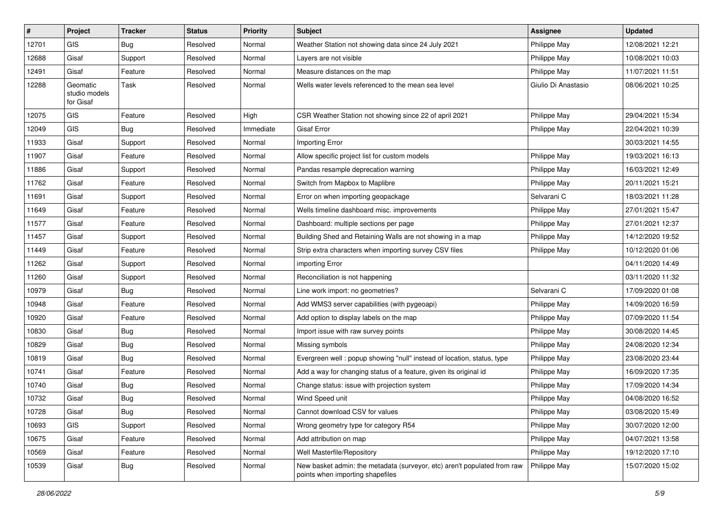| #     | Project                                | <b>Tracker</b> | <b>Status</b> | <b>Priority</b> | Subject                                                                                                      | Assignee            | <b>Updated</b>   |
|-------|----------------------------------------|----------------|---------------|-----------------|--------------------------------------------------------------------------------------------------------------|---------------------|------------------|
| 12701 | <b>GIS</b>                             | Bug            | Resolved      | Normal          | Weather Station not showing data since 24 July 2021                                                          | Philippe May        | 12/08/2021 12:21 |
| 12688 | Gisaf                                  | Support        | Resolved      | Normal          | Layers are not visible                                                                                       | Philippe May        | 10/08/2021 10:03 |
| 12491 | Gisaf                                  | Feature        | Resolved      | Normal          | Measure distances on the map                                                                                 | Philippe May        | 11/07/2021 11:51 |
| 12288 | Geomatic<br>studio models<br>for Gisaf | <b>Task</b>    | Resolved      | Normal          | Wells water levels referenced to the mean sea level                                                          | Giulio Di Anastasio | 08/06/2021 10:25 |
| 12075 | <b>GIS</b>                             | Feature        | Resolved      | High            | CSR Weather Station not showing since 22 of april 2021                                                       | Philippe May        | 29/04/2021 15:34 |
| 12049 | GIS                                    | Bug            | Resolved      | Immediate       | <b>Gisaf Error</b>                                                                                           | Philippe May        | 22/04/2021 10:39 |
| 11933 | Gisaf                                  | Support        | Resolved      | Normal          | Importing Error                                                                                              |                     | 30/03/2021 14:55 |
| 11907 | Gisaf                                  | Feature        | Resolved      | Normal          | Allow specific project list for custom models                                                                | Philippe May        | 19/03/2021 16:13 |
| 11886 | Gisaf                                  | Support        | Resolved      | Normal          | Pandas resample deprecation warning                                                                          | Philippe May        | 16/03/2021 12:49 |
| 11762 | Gisaf                                  | Feature        | Resolved      | Normal          | Switch from Mapbox to Maplibre                                                                               | Philippe May        | 20/11/2021 15:21 |
| 11691 | Gisaf                                  | Support        | Resolved      | Normal          | Error on when importing geopackage                                                                           | Selvarani C         | 18/03/2021 11:28 |
| 11649 | Gisaf                                  | Feature        | Resolved      | Normal          | Wells timeline dashboard misc. improvements                                                                  | Philippe May        | 27/01/2021 15:47 |
| 11577 | Gisaf                                  | Feature        | Resolved      | Normal          | Dashboard: multiple sections per page                                                                        | Philippe May        | 27/01/2021 12:37 |
| 11457 | Gisaf                                  | Support        | Resolved      | Normal          | Building Shed and Retaining Walls are not showing in a map                                                   | Philippe May        | 14/12/2020 19:52 |
| 11449 | Gisaf                                  | Feature        | Resolved      | Normal          | Strip extra characters when importing survey CSV files                                                       | Philippe May        | 10/12/2020 01:06 |
| 11262 | Gisaf                                  | Support        | Resolved      | Normal          | importing Error                                                                                              |                     | 04/11/2020 14:49 |
| 11260 | Gisaf                                  | Support        | Resolved      | Normal          | Reconciliation is not happening                                                                              |                     | 03/11/2020 11:32 |
| 10979 | Gisaf                                  | <b>Bug</b>     | Resolved      | Normal          | Line work import: no geometries?                                                                             | Selvarani C         | 17/09/2020 01:08 |
| 10948 | Gisaf                                  | Feature        | Resolved      | Normal          | Add WMS3 server capabilities (with pygeoapi)                                                                 | Philippe May        | 14/09/2020 16:59 |
| 10920 | Gisaf                                  | Feature        | Resolved      | Normal          | Add option to display labels on the map                                                                      | Philippe May        | 07/09/2020 11:54 |
| 10830 | Gisaf                                  | <b>Bug</b>     | Resolved      | Normal          | Import issue with raw survey points                                                                          | Philippe May        | 30/08/2020 14:45 |
| 10829 | Gisaf                                  | <b>Bug</b>     | Resolved      | Normal          | Missing symbols                                                                                              | Philippe May        | 24/08/2020 12:34 |
| 10819 | Gisaf                                  | <b>Bug</b>     | Resolved      | Normal          | Evergreen well: popup showing "null" instead of location, status, type                                       | Philippe May        | 23/08/2020 23:44 |
| 10741 | Gisaf                                  | Feature        | Resolved      | Normal          | Add a way for changing status of a feature, given its original id                                            | Philippe May        | 16/09/2020 17:35 |
| 10740 | Gisaf                                  | <b>Bug</b>     | Resolved      | Normal          | Change status: issue with projection system                                                                  | Philippe May        | 17/09/2020 14:34 |
| 10732 | Gisaf                                  | <b>Bug</b>     | Resolved      | Normal          | Wind Speed unit                                                                                              | Philippe May        | 04/08/2020 16:52 |
| 10728 | Gisaf                                  | Bug            | Resolved      | Normal          | Cannot download CSV for values                                                                               | Philippe May        | 03/08/2020 15:49 |
| 10693 | GIS                                    | Support        | Resolved      | Normal          | Wrong geometry type for category R54                                                                         | Philippe May        | 30/07/2020 12:00 |
| 10675 | Gisaf                                  | Feature        | Resolved      | Normal          | Add attribution on map                                                                                       | Philippe May        | 04/07/2021 13:58 |
| 10569 | Gisaf                                  | Feature        | Resolved      | Normal          | Well Masterfile/Repository                                                                                   | Philippe May        | 19/12/2020 17:10 |
| 10539 | Gisaf                                  | <b>Bug</b>     | Resolved      | Normal          | New basket admin: the metadata (surveyor, etc) aren't populated from raw<br>points when importing shapefiles | Philippe May        | 15/07/2020 15:02 |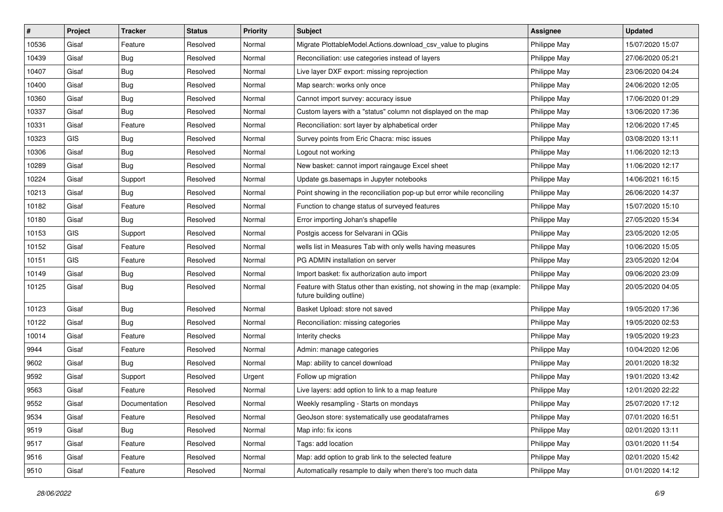| #     | Project | <b>Tracker</b> | <b>Status</b> | <b>Priority</b> | Subject                                                                                               | Assignee     | <b>Updated</b>   |
|-------|---------|----------------|---------------|-----------------|-------------------------------------------------------------------------------------------------------|--------------|------------------|
| 10536 | Gisaf   | Feature        | Resolved      | Normal          | Migrate PlottableModel.Actions.download csv value to plugins                                          | Philippe May | 15/07/2020 15:07 |
| 10439 | Gisaf   | <b>Bug</b>     | Resolved      | Normal          | Reconciliation: use categories instead of layers                                                      | Philippe May | 27/06/2020 05:21 |
| 10407 | Gisaf   | Bug            | Resolved      | Normal          | Live layer DXF export: missing reprojection                                                           | Philippe May | 23/06/2020 04:24 |
| 10400 | Gisaf   | Bug            | Resolved      | Normal          | Map search: works only once                                                                           | Philippe May | 24/06/2020 12:05 |
| 10360 | Gisaf   | Bug            | Resolved      | Normal          | Cannot import survey: accuracy issue                                                                  | Philippe May | 17/06/2020 01:29 |
| 10337 | Gisaf   | Bug            | Resolved      | Normal          | Custom layers with a "status" column not displayed on the map                                         | Philippe May | 13/06/2020 17:36 |
| 10331 | Gisaf   | Feature        | Resolved      | Normal          | Reconciliation: sort layer by alphabetical order                                                      | Philippe May | 12/06/2020 17:45 |
| 10323 | GIS     | Bug            | Resolved      | Normal          | Survey points from Eric Chacra: misc issues                                                           | Philippe May | 03/08/2020 13:11 |
| 10306 | Gisaf   | <b>Bug</b>     | Resolved      | Normal          | Logout not working                                                                                    | Philippe May | 11/06/2020 12:13 |
| 10289 | Gisaf   | Bug            | Resolved      | Normal          | New basket: cannot import raingauge Excel sheet                                                       | Philippe May | 11/06/2020 12:17 |
| 10224 | Gisaf   | Support        | Resolved      | Normal          | Update gs.basemaps in Jupyter notebooks                                                               | Philippe May | 14/06/2021 16:15 |
| 10213 | Gisaf   | <b>Bug</b>     | Resolved      | Normal          | Point showing in the reconciliation pop-up but error while reconciling                                | Philippe May | 26/06/2020 14:37 |
| 10182 | Gisaf   | Feature        | Resolved      | Normal          | Function to change status of surveyed features                                                        | Philippe May | 15/07/2020 15:10 |
| 10180 | Gisaf   | Bug            | Resolved      | Normal          | Error importing Johan's shapefile                                                                     | Philippe May | 27/05/2020 15:34 |
| 10153 | GIS     | Support        | Resolved      | Normal          | Postgis access for Selvarani in QGis                                                                  | Philippe May | 23/05/2020 12:05 |
| 10152 | Gisaf   | Feature        | Resolved      | Normal          | wells list in Measures Tab with only wells having measures                                            | Philippe May | 10/06/2020 15:05 |
| 10151 | GIS     | Feature        | Resolved      | Normal          | PG ADMIN installation on server                                                                       | Philippe May | 23/05/2020 12:04 |
| 10149 | Gisaf   | <b>Bug</b>     | Resolved      | Normal          | Import basket: fix authorization auto import                                                          | Philippe May | 09/06/2020 23:09 |
| 10125 | Gisaf   | Bug            | Resolved      | Normal          | Feature with Status other than existing, not showing in the map (example:<br>future building outline) | Philippe May | 20/05/2020 04:05 |
| 10123 | Gisaf   | Bug            | Resolved      | Normal          | Basket Upload: store not saved                                                                        | Philippe May | 19/05/2020 17:36 |
| 10122 | Gisaf   | Bug            | Resolved      | Normal          | Reconciliation: missing categories                                                                    | Philippe May | 19/05/2020 02:53 |
| 10014 | Gisaf   | Feature        | Resolved      | Normal          | Interity checks                                                                                       | Philippe May | 19/05/2020 19:23 |
| 9944  | Gisaf   | Feature        | Resolved      | Normal          | Admin: manage categories                                                                              | Philippe May | 10/04/2020 12:06 |
| 9602  | Gisaf   | Bug            | Resolved      | Normal          | Map: ability to cancel download                                                                       | Philippe May | 20/01/2020 18:32 |
| 9592  | Gisaf   | Support        | Resolved      | Urgent          | Follow up migration                                                                                   | Philippe May | 19/01/2020 13:42 |
| 9563  | Gisaf   | Feature        | Resolved      | Normal          | Live layers: add option to link to a map feature                                                      | Philippe May | 12/01/2020 22:22 |
| 9552  | Gisaf   | Documentation  | Resolved      | Normal          | Weekly resampling - Starts on mondays                                                                 | Philippe May | 25/07/2020 17:12 |
| 9534  | Gisaf   | Feature        | Resolved      | Normal          | GeoJson store: systematically use geodataframes                                                       | Philippe May | 07/01/2020 16:51 |
| 9519  | Gisaf   | Bug            | Resolved      | Normal          | Map info: fix icons                                                                                   | Philippe May | 02/01/2020 13:11 |
| 9517  | Gisaf   | Feature        | Resolved      | Normal          | Tags: add location                                                                                    | Philippe May | 03/01/2020 11:54 |
| 9516  | Gisaf   | Feature        | Resolved      | Normal          | Map: add option to grab link to the selected feature                                                  | Philippe May | 02/01/2020 15:42 |
| 9510  | Gisaf   | Feature        | Resolved      | Normal          | Automatically resample to daily when there's too much data                                            | Philippe May | 01/01/2020 14:12 |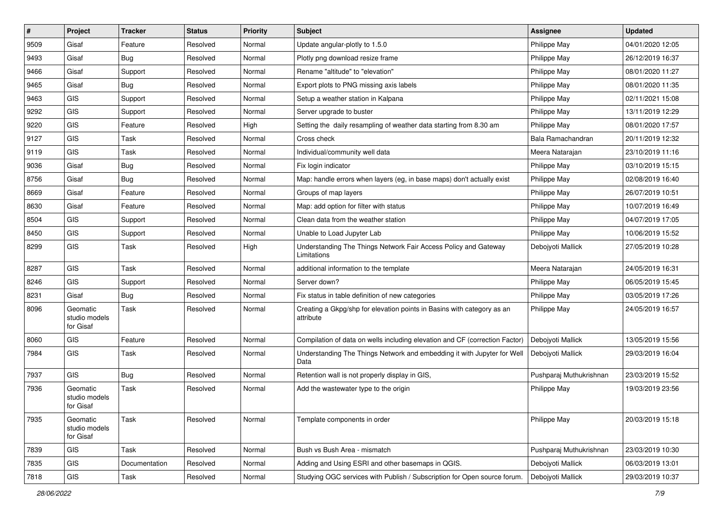| #    | Project                                | <b>Tracker</b> | <b>Status</b> | <b>Priority</b> | Subject                                                                             | Assignee                | <b>Updated</b>   |
|------|----------------------------------------|----------------|---------------|-----------------|-------------------------------------------------------------------------------------|-------------------------|------------------|
| 9509 | Gisaf                                  | Feature        | Resolved      | Normal          | Update angular-plotly to 1.5.0                                                      | Philippe May            | 04/01/2020 12:05 |
| 9493 | Gisaf                                  | Bug            | Resolved      | Normal          | Plotly png download resize frame                                                    | Philippe May            | 26/12/2019 16:37 |
| 9466 | Gisaf                                  | Support        | Resolved      | Normal          | Rename "altitude" to "elevation"                                                    | Philippe May            | 08/01/2020 11:27 |
| 9465 | Gisaf                                  | Bug            | Resolved      | Normal          | Export plots to PNG missing axis labels                                             | Philippe May            | 08/01/2020 11:35 |
| 9463 | GIS                                    | Support        | Resolved      | Normal          | Setup a weather station in Kalpana                                                  | Philippe May            | 02/11/2021 15:08 |
| 9292 | <b>GIS</b>                             | Support        | Resolved      | Normal          | Server upgrade to buster                                                            | Philippe May            | 13/11/2019 12:29 |
| 9220 | GIS                                    | Feature        | Resolved      | High            | Setting the daily resampling of weather data starting from 8.30 am                  | Philippe May            | 08/01/2020 17:57 |
| 9127 | GIS                                    | Task           | Resolved      | Normal          | Cross check                                                                         | Bala Ramachandran       | 20/11/2019 12:32 |
| 9119 | GIS                                    | Task           | Resolved      | Normal          | Individual/community well data                                                      | Meera Natarajan         | 23/10/2019 11:16 |
| 9036 | Gisaf                                  | <b>Bug</b>     | Resolved      | Normal          | Fix login indicator                                                                 | Philippe May            | 03/10/2019 15:15 |
| 8756 | Gisaf                                  | Bug            | Resolved      | Normal          | Map: handle errors when layers (eg, in base maps) don't actually exist              | Philippe May            | 02/08/2019 16:40 |
| 8669 | Gisaf                                  | Feature        | Resolved      | Normal          | Groups of map layers                                                                | Philippe May            | 26/07/2019 10:51 |
| 8630 | Gisaf                                  | Feature        | Resolved      | Normal          | Map: add option for filter with status                                              | Philippe May            | 10/07/2019 16:49 |
| 8504 | GIS                                    | Support        | Resolved      | Normal          | Clean data from the weather station                                                 | Philippe May            | 04/07/2019 17:05 |
| 8450 | GIS                                    | Support        | Resolved      | Normal          | Unable to Load Jupyter Lab                                                          | Philippe May            | 10/06/2019 15:52 |
| 8299 | <b>GIS</b>                             | Task           | Resolved      | High            | Understanding The Things Network Fair Access Policy and Gateway<br>Limitations      | Debojyoti Mallick       | 27/05/2019 10:28 |
| 8287 | <b>GIS</b>                             | Task           | Resolved      | Normal          | additional information to the template                                              | Meera Natarajan         | 24/05/2019 16:31 |
| 8246 | <b>GIS</b>                             | Support        | Resolved      | Normal          | Server down?                                                                        | Philippe May            | 06/05/2019 15:45 |
| 8231 | Gisaf                                  | Bug            | Resolved      | Normal          | Fix status in table definition of new categories                                    | Philippe May            | 03/05/2019 17:26 |
| 8096 | Geomatic<br>studio models<br>for Gisaf | <b>Task</b>    | Resolved      | Normal          | Creating a Gkpg/shp for elevation points in Basins with category as an<br>attribute | Philippe May            | 24/05/2019 16:57 |
| 8060 | <b>GIS</b>                             | Feature        | Resolved      | Normal          | Compilation of data on wells including elevation and CF (correction Factor)         | Debojyoti Mallick       | 13/05/2019 15:56 |
| 7984 | GIS                                    | Task           | Resolved      | Normal          | Understanding The Things Network and embedding it with Jupyter for Well<br>Data     | Debojyoti Mallick       | 29/03/2019 16:04 |
| 7937 | GIS                                    | Bug            | Resolved      | Normal          | Retention wall is not properly display in GIS,                                      | Pushparaj Muthukrishnan | 23/03/2019 15:52 |
| 7936 | Geomatic<br>studio models<br>for Gisaf | Task           | Resolved      | Normal          | Add the wastewater type to the origin                                               | Philippe May            | 19/03/2019 23:56 |
| 7935 | Geomatic<br>studio models<br>for Gisaf | Task           | Resolved      | Normal          | Template components in order                                                        | Philippe May            | 20/03/2019 15:18 |
| 7839 | GIS                                    | Task           | Resolved      | Normal          | Bush vs Bush Area - mismatch                                                        | Pushparaj Muthukrishnan | 23/03/2019 10:30 |
| 7835 | GIS                                    | Documentation  | Resolved      | Normal          | Adding and Using ESRI and other basemaps in QGIS.                                   | Debojyoti Mallick       | 06/03/2019 13:01 |
| 7818 | GIS                                    | Task           | Resolved      | Normal          | Studying OGC services with Publish / Subscription for Open source forum.            | Debojyoti Mallick       | 29/03/2019 10:37 |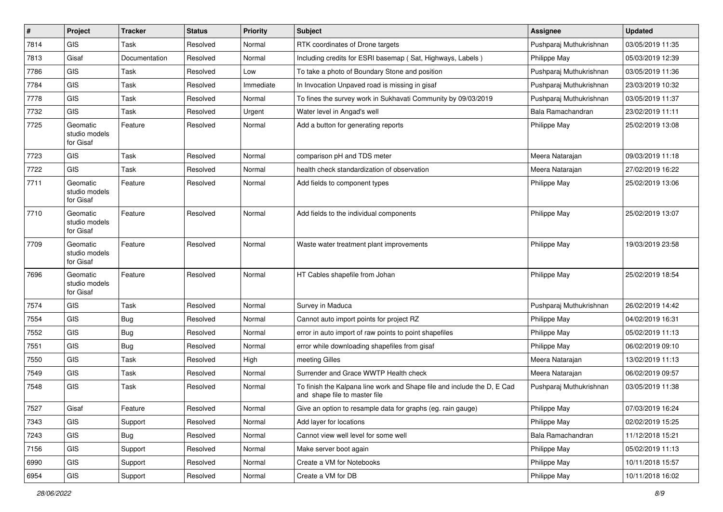| $\vert$ # | Project                                | <b>Tracker</b> | <b>Status</b> | <b>Priority</b> | Subject                                                                                                  | <b>Assignee</b>         | <b>Updated</b>   |
|-----------|----------------------------------------|----------------|---------------|-----------------|----------------------------------------------------------------------------------------------------------|-------------------------|------------------|
| 7814      | <b>GIS</b>                             | Task           | Resolved      | Normal          | RTK coordinates of Drone targets                                                                         | Pushparaj Muthukrishnan | 03/05/2019 11:35 |
| 7813      | Gisaf                                  | Documentation  | Resolved      | Normal          | Including credits for ESRI basemap (Sat, Highways, Labels)                                               | Philippe May            | 05/03/2019 12:39 |
| 7786      | <b>GIS</b>                             | Task           | Resolved      | Low             | To take a photo of Boundary Stone and position                                                           | Pushparaj Muthukrishnan | 03/05/2019 11:36 |
| 7784      | <b>GIS</b>                             | Task           | Resolved      | Immediate       | In Invocation Unpaved road is missing in gisaf                                                           | Pushparaj Muthukrishnan | 23/03/2019 10:32 |
| 7778      | GIS                                    | Task           | Resolved      | Normal          | To fines the survey work in Sukhavati Community by 09/03/2019                                            | Pushparaj Muthukrishnan | 03/05/2019 11:37 |
| 7732      | <b>GIS</b>                             | Task           | Resolved      | Urgent          | Water level in Angad's well                                                                              | Bala Ramachandran       | 23/02/2019 11:11 |
| 7725      | Geomatic<br>studio models<br>for Gisaf | Feature        | Resolved      | Normal          | Add a button for generating reports                                                                      | Philippe May            | 25/02/2019 13:08 |
| 7723      | GIS                                    | Task           | Resolved      | Normal          | comparison pH and TDS meter                                                                              | Meera Natarajan         | 09/03/2019 11:18 |
| 7722      | <b>GIS</b>                             | Task           | Resolved      | Normal          | health check standardization of observation                                                              | Meera Natarajan         | 27/02/2019 16:22 |
| 7711      | Geomatic<br>studio models<br>for Gisaf | Feature        | Resolved      | Normal          | Add fields to component types                                                                            | Philippe May            | 25/02/2019 13:06 |
| 7710      | Geomatic<br>studio models<br>for Gisaf | Feature        | Resolved      | Normal          | Add fields to the individual components                                                                  | Philippe May            | 25/02/2019 13:07 |
| 7709      | Geomatic<br>studio models<br>for Gisaf | Feature        | Resolved      | Normal          | Waste water treatment plant improvements                                                                 | Philippe May            | 19/03/2019 23:58 |
| 7696      | Geomatic<br>studio models<br>for Gisaf | Feature        | Resolved      | Normal          | HT Cables shapefile from Johan                                                                           | Philippe May            | 25/02/2019 18:54 |
| 7574      | <b>GIS</b>                             | Task           | Resolved      | Normal          | Survey in Maduca                                                                                         | Pushparaj Muthukrishnan | 26/02/2019 14:42 |
| 7554      | <b>GIS</b>                             | <b>Bug</b>     | Resolved      | Normal          | Cannot auto import points for project RZ                                                                 | Philippe May            | 04/02/2019 16:31 |
| 7552      | <b>GIS</b>                             | <b>Bug</b>     | Resolved      | Normal          | error in auto import of raw points to point shapefiles                                                   | Philippe May            | 05/02/2019 11:13 |
| 7551      | GIS                                    | Bug            | Resolved      | Normal          | error while downloading shapefiles from gisaf                                                            | Philippe May            | 06/02/2019 09:10 |
| 7550      | <b>GIS</b>                             | Task           | Resolved      | High            | meeting Gilles                                                                                           | Meera Natarajan         | 13/02/2019 11:13 |
| 7549      | GIS                                    | Task           | Resolved      | Normal          | Surrender and Grace WWTP Health check                                                                    | Meera Natarajan         | 06/02/2019 09:57 |
| 7548      | <b>GIS</b>                             | Task           | Resolved      | Normal          | To finish the Kalpana line work and Shape file and include the D, E Cad<br>and shape file to master file | Pushparaj Muthukrishnan | 03/05/2019 11:38 |
| 7527      | Gisaf                                  | Feature        | Resolved      | Normal          | Give an option to resample data for graphs (eg. rain gauge)                                              | Philippe May            | 07/03/2019 16:24 |
| 7343      | GIS                                    | Support        | Resolved      | Normal          | Add layer for locations                                                                                  | Philippe May            | 02/02/2019 15:25 |
| 7243      | GIS                                    | <b>Bug</b>     | Resolved      | Normal          | Cannot view well level for some well                                                                     | Bala Ramachandran       | 11/12/2018 15:21 |
| 7156      | GIS                                    | Support        | Resolved      | Normal          | Make server boot again                                                                                   | Philippe May            | 05/02/2019 11:13 |
| 6990      | GIS                                    | Support        | Resolved      | Normal          | Create a VM for Notebooks                                                                                | Philippe May            | 10/11/2018 15:57 |
| 6954      | GIS                                    | Support        | Resolved      | Normal          | Create a VM for DB                                                                                       | Philippe May            | 10/11/2018 16:02 |